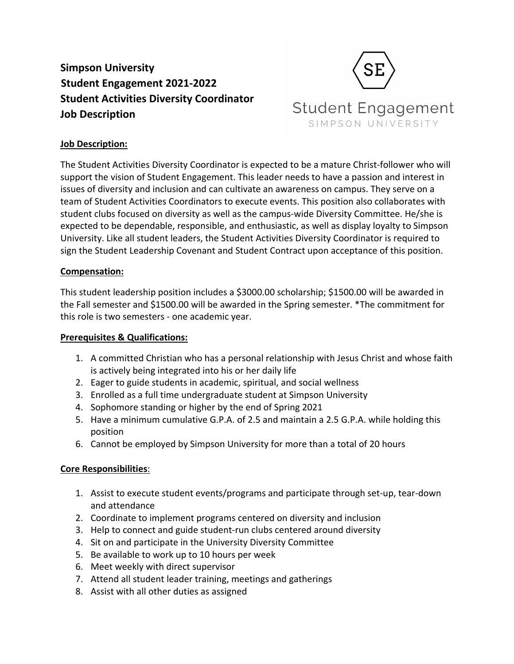**Simpson University Student Engagement 2021-2022 Student Activities Diversity Coordinator Job Description**



# **Job Description:**

The Student Activities Diversity Coordinator is expected to be a mature Christ-follower who will support the vision of Student Engagement. This leader needs to have a passion and interest in issues of diversity and inclusion and can cultivate an awareness on campus. They serve on a team of Student Activities Coordinators to execute events. This position also collaborates with student clubs focused on diversity as well as the campus-wide Diversity Committee. He/she is expected to be dependable, responsible, and enthusiastic, as well as display loyalty to Simpson University. Like all student leaders, the Student Activities Diversity Coordinator is required to sign the Student Leadership Covenant and Student Contract upon acceptance of this position.

### **Compensation:**

This student leadership position includes a \$3000.00 scholarship; \$1500.00 will be awarded in the Fall semester and \$1500.00 will be awarded in the Spring semester. \*The commitment for this role is two semesters - one academic year.

### **Prerequisites & Qualifications:**

- 1. A committed Christian who has a personal relationship with Jesus Christ and whose faith is actively being integrated into his or her daily life
- 2. Eager to guide students in academic, spiritual, and social wellness
- 3. Enrolled as a full time undergraduate student at Simpson University
- 4. Sophomore standing or higher by the end of Spring 2021
- 5. Have a minimum cumulative G.P.A. of 2.5 and maintain a 2.5 G.P.A. while holding this position
- 6. Cannot be employed by Simpson University for more than a total of 20 hours

### **Core Responsibilities**:

- 1. Assist to execute student events/programs and participate through set-up, tear-down and attendance
- 2. Coordinate to implement programs centered on diversity and inclusion
- 3. Help to connect and guide student-run clubs centered around diversity
- 4. Sit on and participate in the University Diversity Committee
- 5. Be available to work up to 10 hours per week
- 6. Meet weekly with direct supervisor
- 7. Attend all student leader training, meetings and gatherings
- 8. Assist with all other duties as assigned